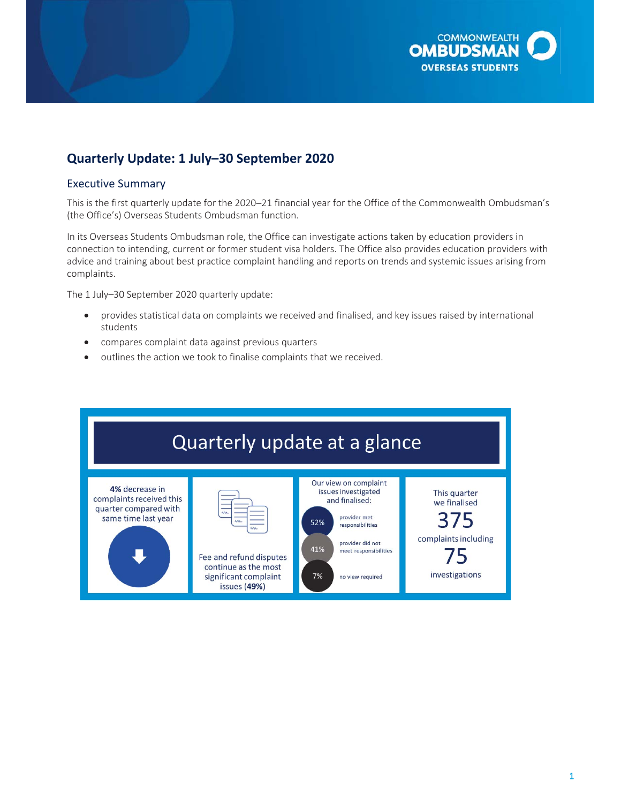

# **Quarterly Update: 1 July–30 September 2020**

### Executive Summary

 This is the first quarterly update for the 2020–21 financial year for the Office of the Commonwealth Ombudsman's (the Office's) Overseas Students Ombudsman function.

 In its Overseas Students Ombudsman role, the Office can investigate actions taken by education providers in advice and training about best practice complaint handling and reports on trends and systemic issues arising from connection to intending, current or former student visa holders. The Office also provides education providers with complaints.

The 1 July–30 September 2020 quarterly update:

- provides statistical data on complaints we received and finalised, and key issues raised by international students
- **•** compares complaint data against previous quarters
- $\bullet$  outlines the action we took to finalise complaints that we received.

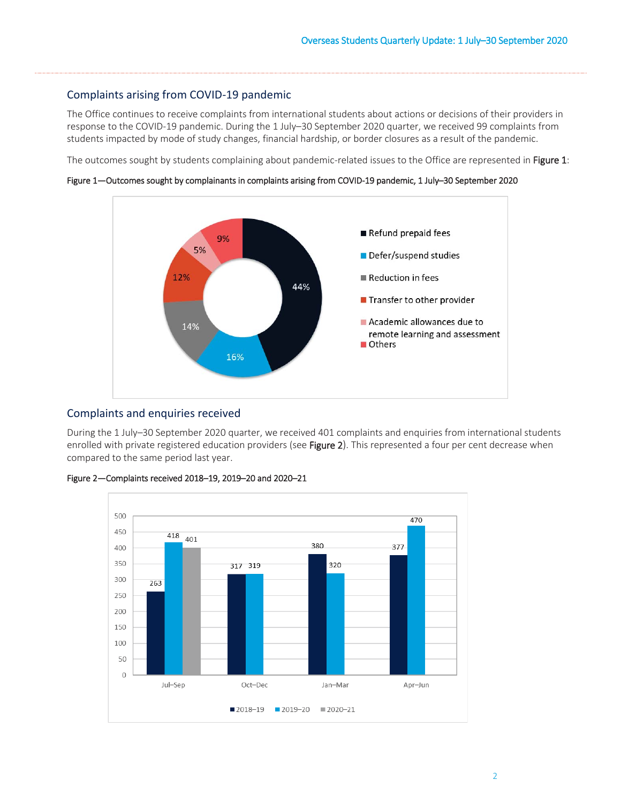# Complaints arising from COVID-19 pandemic

 response to the COVID-19 pandemic. During the 1 July–30 September 2020 quarter, we received 99 complaints from The Office continues to receive complaints from international students about actions or decisions of their providers in students impacted by mode of study changes, financial hardship, or border closures as a result of the pandemic.

The outcomes sought by students complaining about pandemic-related issues to the Office are represented in Figure 1:

Figure 1—Outcomes sought by complainants in complaints arising from COVID-19 pandemic, 1 July–30 September 2020



### Complaints and enquiries received

 During the 1 July–30 September 2020 quarter, we received 401 complaints and enquiries from international students enrolled with private registered education providers (see Figure 2). This represented a four per cent decrease when compared to the same period last year.



#### Figure 2—Complaints received 2018–19, 2019–20 and 2020–21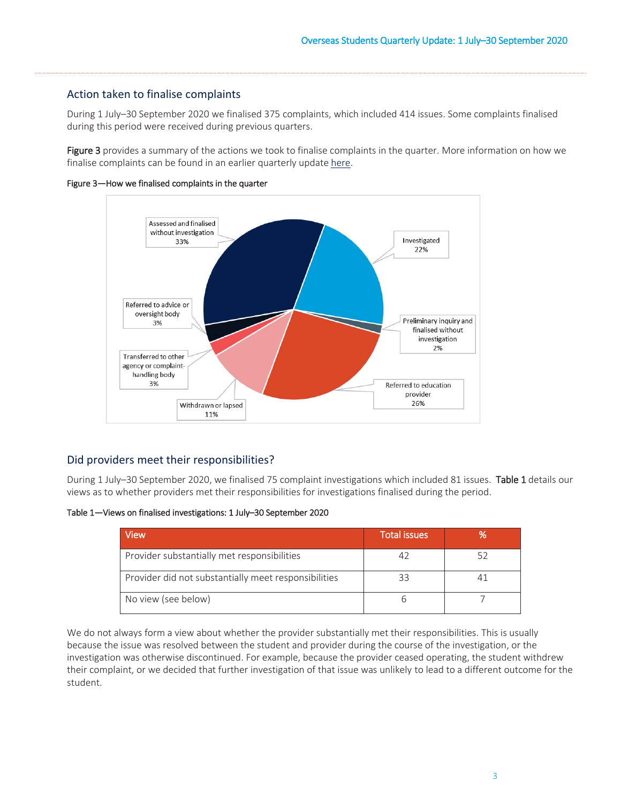### Action taken to finalise complaints

 During 1 July–30 September 2020 we finalised 375 complaints, which included 414 issues. Some complaints finalised during this period were received during previous quarters.

finalise complaints can be found in an earlier quarterly update here. Figure 3 provides a summary of the actions we took to finalise complaints in the quarter. More information on how we

Figure 3—How we finalised complaints in the quarter



## Did providers meet their responsibilities?

During 1 July–30 September 2020, we finalised 75 complaint investigations which included 81 issues. Table 1 details our views as to whether providers met their responsibilities for investigations finalised during the period.

Table 1—Views on finalised investigations: 1 July–30 September 2020

| <b>View</b>                                          | <b>Total issues</b> |  |
|------------------------------------------------------|---------------------|--|
| Provider substantially met responsibilities          |                     |  |
| Provider did not substantially meet responsibilities |                     |  |
| No view (see below)                                  |                     |  |

 We do not always form a view about whether the provider substantially met their responsibilities. This is usually because the issue was resolved between the student and provider during the course of the investigation, or the investigation was otherwise discontinued. For example, because the provider ceased operating, the student withdrew their complaint, or we decided that further investigation of that issue was unlikely to lead to a different outcome for the student.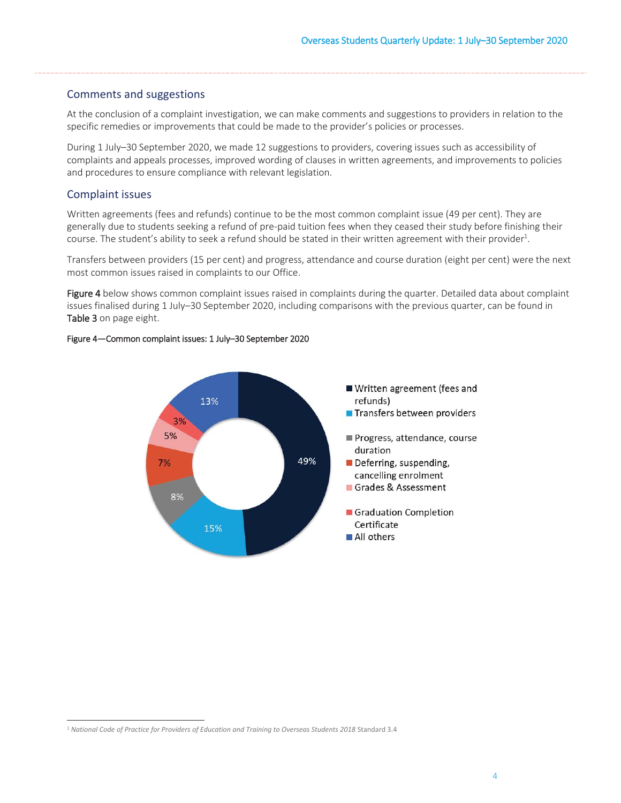### Comments and suggestions

At the conclusion of a complaint investigation, we can make comments and suggestions to providers in relation to the specific remedies or improvements that could be made to the provider's policies or processes.

During 1 July–30 September 2020, we made 12 suggestions to providers, covering issues such as accessibility of complaints and appeals processes, improved wording of clauses in written agreements, and improvements to policies and procedures to ensure compliance with relevant legislation.

## Complaint issues

 Written agreements (fees and refunds) continue to be the most common complaint issue (49 per cent). They are generally due to students seeking a refund of pre-paid tuition fees when they ceased their study before finishing their course. The student's ability to seek a refund should be stated in their written agreement with their provider $^1$ .

 Transfers between providers (15 per cent) and progress, attendance and course duration (eight per cent) were the next most common issues raised in complaints to our Office.

Figure 4 below shows common complaint issues raised in complaints during the quarter. Detailed data about complaint issues finalised during 1 July–30 September 2020, including comparisons with the previous quarter, can be found in Table 3 on page eight.

#### Figure 4—Common complaint issues: 1 July–30 September 2020



 $\overline{a}$ <sup>1</sup> *National Code of Practice for Providers of Education and Training to Overseas Students 2018* Standard 3.4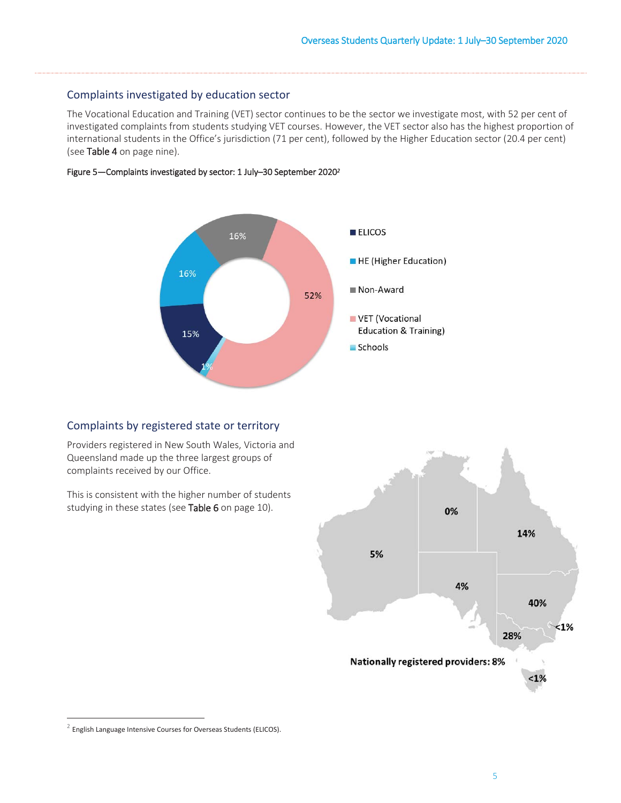# Complaints investigated by education sector

 investigated complaints from students studying VET courses. However, the VET sector also has the highest proportion of international students in the Office's jurisdiction (71 per cent), followed by the Higher Education sector (20.4 per cent) (see Table 4 on page nine). The Vocational Education and Training (VET) sector continues to be the sector we investigate most, with 52 per cent of





## Complaints by registered state or territory

Providers registered in New South Wales, Victoria and Queensland made up the three largest groups of complaints received by our Office.

studying in these states (see Table 6 on page 10). This is consistent with the higher number of students



 $2$  English Language Intensive Courses for Overseas Students (ELICOS).

 $\overline{a}$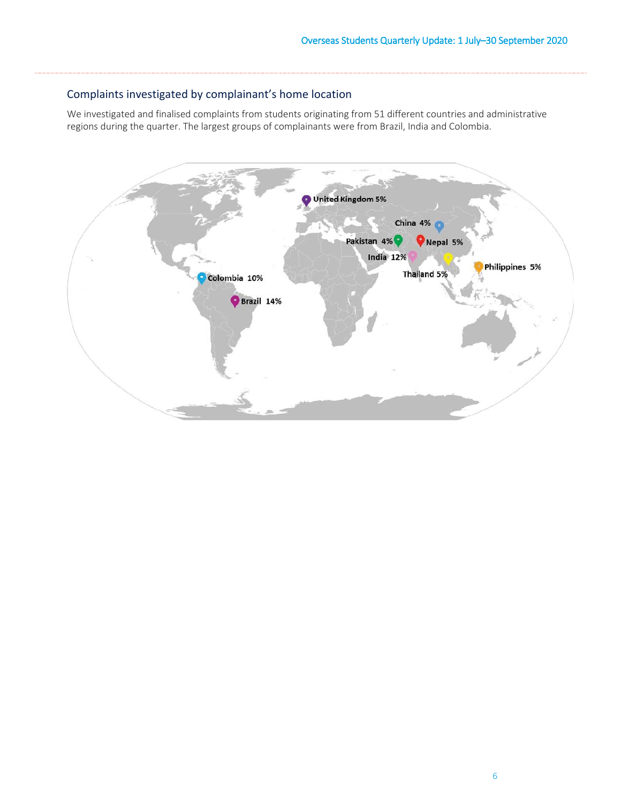# Complaints investigated by complainant's home location

 We investigated and finalised complaints from students originating from 51 different countries and administrative regions during the quarter. The largest groups of complainants were from Brazil, India and Colombia.

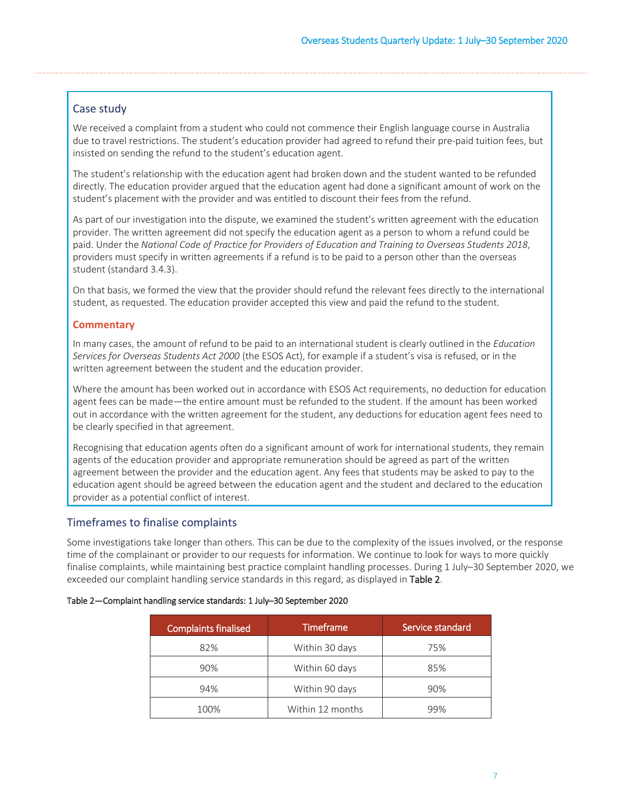## Case study

We received a complaint from a student who could not commence their English language course in Australia due to travel restrictions. The student's education provider had agreed to refund their pre-paid tuition fees, but insisted on sending the refund to the student's education agent.

 student's placement with the provider and was entitled to discount their fees from the refund. The student's relationship with the education agent had broken down and the student wanted to be refunded directly. The education provider argued that the education agent had done a significant amount of work on the

 paid. Under the *National Code of Practice for Providers of Education and Training to Overseas Students 2018*, student (standard 3.4.3). As part of our investigation into the dispute, we examined the student's written agreement with the education provider. The written agreement did not specify the education agent as a person to whom a refund could be providers must specify in written agreements if a refund is to be paid to a person other than the overseas

 On that basis, we formed the view that the provider should refund the relevant fees directly to the international student, as requested. The education provider accepted this view and paid the refund to the student.

#### **Commentary**

In many cases, the amount of refund to be paid to an international student is clearly outlined in the *Education Services for Overseas Students Act 2000* (the ESOS Act), for example if a student's visa is refused, or in the written agreement between the student and the education provider.

 Where the amount has been worked out in accordance with ESOS Act requirements, no deduction for education out in accordance with the written agreement for the student, any deductions for education agent fees need to agent fees can be made—the entire amount must be refunded to the student. If the amount has been worked be clearly specified in that agreement.

 agents of the education provider and appropriate remuneration should be agreed as part of the written education agent should be agreed between the education agent and the student and declared to the education Recognising that education agents often do a significant amount of work for international students, they remain agreement between the provider and the education agent. Any fees that students may be asked to pay to the provider as a potential conflict of interest.

### Timeframes to finalise complaints

 finalise complaints, while maintaining best practice complaint handling processes. During 1 July–30 September 2020, we exceeded our complaint handling service standards in this regard, as displayed in Table 2. Some investigations take longer than others. This can be due to the complexity of the issues involved, or the response time of the complainant or provider to our requests for information. We continue to look for ways to more quickly

#### Table 2—Complaint handling service standards: 1 July–30 September 2020

| <b>Complaints finalised</b> | <b>Timeframe</b> | Service standard |
|-----------------------------|------------------|------------------|
| 82%                         | Within 30 days   | 75%              |
| 90%                         | Within 60 days   | 85%              |
| 94%                         | Within 90 days   | 90%              |
| 100%                        | Within 12 months | 99%              |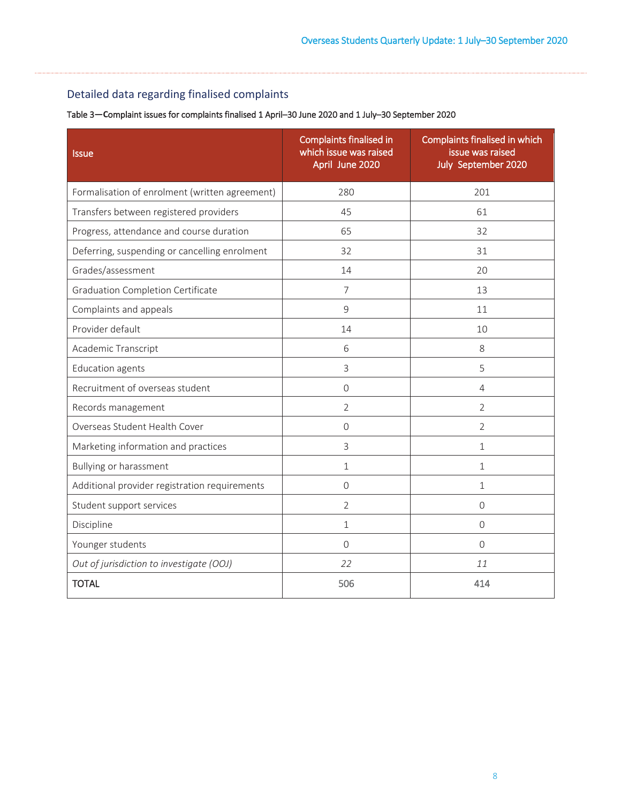# Detailed data regarding finalised complaints

Table 3**—C**omplaint issues for complaints finalised 1 April–30 June 2020 and 1 July–30 September 2020

| <b>Issue</b>                                   | <b>Complaints finalised in</b><br>which issue was raised<br>April June 2020 | Complaints finalised in which<br>issue was raised<br>July September 2020 |
|------------------------------------------------|-----------------------------------------------------------------------------|--------------------------------------------------------------------------|
| Formalisation of enrolment (written agreement) | 280                                                                         | 201                                                                      |
| Transfers between registered providers         | 45                                                                          | 61                                                                       |
| Progress, attendance and course duration       | 65                                                                          | 32                                                                       |
| Deferring, suspending or cancelling enrolment  | 32                                                                          | 31                                                                       |
| Grades/assessment                              | 14                                                                          | 20                                                                       |
| <b>Graduation Completion Certificate</b>       | $\overline{7}$                                                              | 13                                                                       |
| Complaints and appeals                         | 9                                                                           | 11                                                                       |
| Provider default                               | 14                                                                          | 10                                                                       |
| Academic Transcript                            | 6                                                                           | 8                                                                        |
| <b>Education agents</b>                        | 3                                                                           | 5                                                                        |
| Recruitment of overseas student                | $\Omega$                                                                    | 4                                                                        |
| Records management                             | $\overline{2}$                                                              | $\overline{2}$                                                           |
| Overseas Student Health Cover                  | $\mathbf 0$                                                                 | $\overline{2}$                                                           |
| Marketing information and practices            | 3                                                                           | $\mathbf{1}$                                                             |
| Bullying or harassment                         | $\mathbf{1}$                                                                | $\mathbf{1}$                                                             |
| Additional provider registration requirements  | $\mathbf 0$                                                                 | $\mathbf 1$                                                              |
| Student support services                       | $\overline{2}$                                                              | $\overline{0}$                                                           |
| Discipline                                     | 1                                                                           | $\Omega$                                                                 |
| Younger students                               | $\Omega$                                                                    | $\Omega$                                                                 |
| Out of jurisdiction to investigate (OOJ)       | 22                                                                          | 11                                                                       |
| <b>TOTAL</b>                                   | 506                                                                         | 414                                                                      |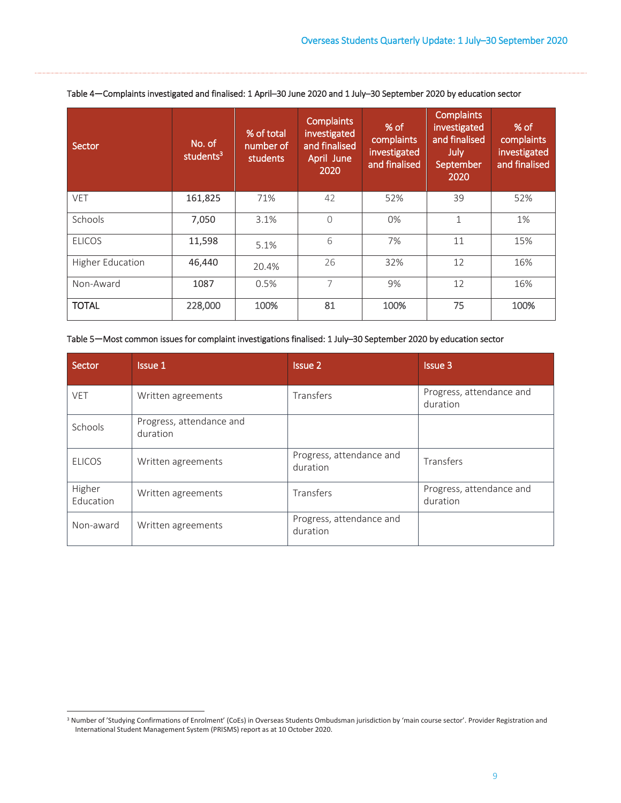| Sector                  | No. of<br>students <sup>3</sup> | % of total<br>number of<br>students | <b>Complaints</b><br>investigated<br>and finalised<br>April June<br>2020 | % of<br>complaints<br>investigated<br>and finalised | <b>Complaints</b><br>investigated<br>and finalised<br>July<br>September<br>2020 | % of<br>complaints<br>investigated<br>and finalised |
|-------------------------|---------------------------------|-------------------------------------|--------------------------------------------------------------------------|-----------------------------------------------------|---------------------------------------------------------------------------------|-----------------------------------------------------|
| <b>VET</b>              | 161,825                         | 71%                                 | 42                                                                       | 52%                                                 | 39                                                                              | 52%                                                 |
| Schools                 | 7,050                           | 3.1%                                | $\Omega$                                                                 | 0%                                                  | $\mathbf 1$                                                                     | 1%                                                  |
| <b>ELICOS</b>           | 11,598                          | 5.1%                                | 6                                                                        | 7%                                                  | 11                                                                              | 15%                                                 |
| <b>Higher Education</b> | 46,440                          | 20.4%                               | 26                                                                       | 32%                                                 | 12                                                                              | 16%                                                 |
| Non-Award               | 1087                            | 0.5%                                | 7                                                                        | 9%                                                  | 12                                                                              | 16%                                                 |
| <b>TOTAL</b>            | 228,000                         | 100%                                | 81                                                                       | 100%                                                | 75                                                                              | 100%                                                |

Table 4**—**Complaints investigated and finalised: 1 April–30 June 2020 and 1 July–30 September 2020 by education sector

#### Table 5**—**Most common issues for complaint investigations finalised: 1 July–30 September 2020 by education sector

| Sector              | <b>Issue 1</b>                       | Issue 2                              | <b>Issue 3</b>                       |
|---------------------|--------------------------------------|--------------------------------------|--------------------------------------|
| <b>VET</b>          | Written agreements                   | Transfers                            | Progress, attendance and<br>duration |
| Schools             | Progress, attendance and<br>duration |                                      |                                      |
| <b>ELICOS</b>       | Written agreements                   | Progress, attendance and<br>duration | Transfers                            |
| Higher<br>Education | Written agreements                   | Transfers                            | Progress, attendance and<br>duration |
| Non-award           | Written agreements                   | Progress, attendance and<br>duration |                                      |

 3 Number of 'Studying Confirmations of Enrolment' (CoEs) in Overseas Students Ombudsman jurisdiction by 'main course sector'. Provider Registration and International Student Management System (PRISMS) report as at 10 October 2020.